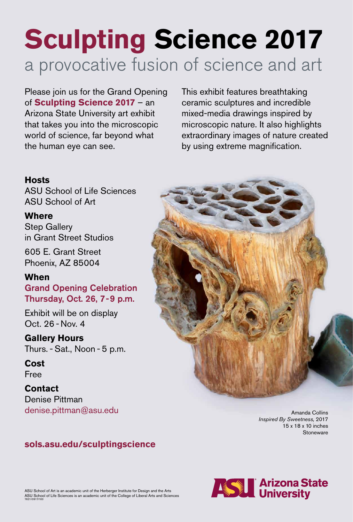# **Sculpting Science 2017** a provocative fusion of science and art

## **Hosts**

ASU School of Life Sciences ASU School of Art

### **Where**

Step Gallery in Grant Street Studios

605 E. Grant Street Phoenix, AZ 85004

### **When**

Amanda Collins *Inspired By Sweetness,* 2017 15 x 18 x 10 inches **Stoneware** 

Grand Opening Celebration Thursday, Oct. 26, 7 - 9 p.m.

Exhibit will be on display Oct. 26 - Nov. 4

**Gallery Hours** Thurs. - Sat., Noon - 5 p.m.



**Cost** Free

**Contact** Denise Pittman denise.pittman@asu.edu

#### **sols.asu.edu/sculptingscience**

ASU School of Art is an academic unit of the Herberger Institute for Design and the Arts ASU School of Life Sciences is an academic unit of the College of Liberal Arts and Sciences 7621/0917/100



Please join us for the Grand Opening of **Sculpting Science 2017** – an Arizona State University art exhibit that takes you into the microscopic world of science, far beyond what the human eye can see.

This exhibit features breathtaking ceramic sculptures and incredible mixed-media drawings inspired by microscopic nature. It also highlights extraordinary images of nature created by using extreme magnification.